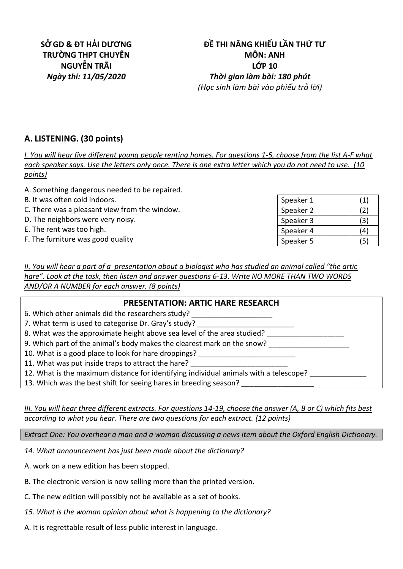## **ĐỀ THI NĂNG KHIẾU LẦN THỨ TƯ MÔN: ANH LỚP 10** *Ngày thi: 11/05/2020 Thời gian làm bài: 180 phút (Học sinh làm bài vào phiếu trả lời)*

# **A. LISTENING. (30 points)**

*I. You will hear five different young people renting homes. For questions 1-5, choose from the list A-F what each speaker says. Use the letters only once. There is one extra letter which you do not need to use. (10 points)*

- A. Something dangerous needed to be repaired.
- B. It was often cold indoors.
- C. There was a pleasant view from the window.
- D. The neighbors were very noisy.
- E. The rent was too high.
- F. The furniture was good quality

| Speaker 1 | (1) |
|-----------|-----|
| Speaker 2 | (2) |
| Speaker 3 | (3) |
| Speaker 4 | (4) |
| Speaker 5 | (5) |

*II. You will hear a part of a presentation about a biologist who has studied an animal called "the artic hare". Look at the task, then listen and answer questions 6-13. Write NO MORE THAN TWO WORDS AND/OR A NUMBER for each answer. (8 points)*

| <b>PRESENTATION: ARTIC HARE RESEARCH</b>                                              |
|---------------------------------------------------------------------------------------|
| 6. Which other animals did the researchers study?                                     |
| 7. What term is used to categorise Dr. Gray's study?                                  |
| 8. What was the approximate height above sea level of the area studied?               |
| 9. Which part of the animal's body makes the clearest mark on the snow?               |
| 10. What is a good place to look for hare droppings?                                  |
| 11. What was put inside traps to attract the hare?                                    |
| 12. What is the maximum distance for identifying individual animals with a telescope? |
| 13. Which was the best shift for seeing hares in breeding season?                     |

*III. You will hear three different extracts. For questions 14-19, choose the answer (A, B or C) which fits best according to what you hear. There are two questions for each extract. (12 points)*

*Extract One: You overhear a man and a woman discussing a news item about the Oxford English Dictionary.*

*14. What announcement has just been made about the dictionary?*

A. work on a new edition has been stopped.

- B. The electronic version is now selling more than the printed version.
- C. The new edition will possibly not be available as a set of books.
- *15. What is the woman opinion about what is happening to the dictionary?*
- A. It is regrettable result of less public interest in language.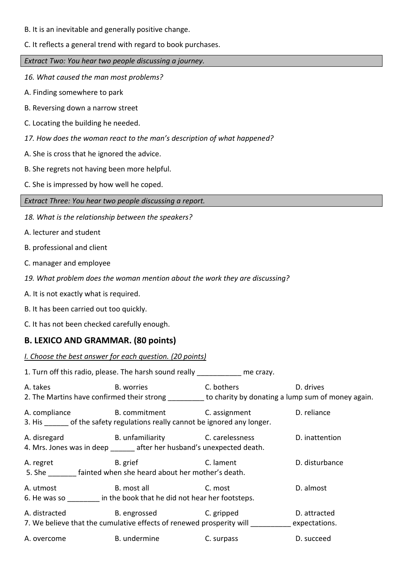- B. It is an inevitable and generally positive change.
- C. It reflects a general trend with regard to book purchases.

*Extract Two: You hear two people discussing a journey.* 

- *16. What caused the man most problems?*
- A. Finding somewhere to park
- B. Reversing down a narrow street
- C. Locating the building he needed.
- *17. How does the woman react to the man's description of what happened?*
- A. She is cross that he ignored the advice.
- B. She regrets not having been more helpful.
- C. She is impressed by how well he coped.

- *18. What is the relationship between the speakers?*
- A. lecturer and student
- B. professional and client
- C. manager and employee
- *19. What problem does the woman mention about the work they are discussing?*
- A. It is not exactly what is required.
- B. It has been carried out too quickly.
- C. It has not been checked carefully enough.

## **B. LEXICO AND GRAMMAR. (80 points)**

#### *I. Choose the best answer for each question. (20 points)*

|                                                                                                                                  | 1. Turn off this radio, please. The harsh sound really me crazy.                                                               |                                                                                                                                                                                                                                   |                |
|----------------------------------------------------------------------------------------------------------------------------------|--------------------------------------------------------------------------------------------------------------------------------|-----------------------------------------------------------------------------------------------------------------------------------------------------------------------------------------------------------------------------------|----------------|
| A. takes<br><b>Example 13 Service State 13 Service State 13 Service State 13 Service State 13 Service State 13 Service State</b> | 2. The Martins have confirmed their strong ________ to charity by donating a lump sum of money again.                          | <b>C. bothers C.</b> The contract of the contract of the contract of the contract of the contract of the contract of the contract of the contract of the contract of the contract of the contract of the contract of the contract | D. drives      |
|                                                                                                                                  | A. compliance B. commitment C. assignment D. reliance<br>3. His of the safety regulations really cannot be ignored any longer. |                                                                                                                                                                                                                                   |                |
|                                                                                                                                  | A. disregard B. unfamiliarity B. carelessness<br>4. Mrs. Jones was in deep _______ after her husband's unexpected death.       |                                                                                                                                                                                                                                   | D. inattention |
| A. regret                                                                                                                        | B. grief<br>5. She fainted when she heard about her mother's death.                                                            | C. lament                                                                                                                                                                                                                         | D. disturbance |
|                                                                                                                                  | A. utmost B. most all C. most<br>6. He was so <b>in the book that he did not hear her footsteps.</b>                           |                                                                                                                                                                                                                                   | D. almost      |
|                                                                                                                                  | A. distracted B. engrossed C. gripped<br>7. We believe that the cumulative effects of renewed prosperity will expectations.    |                                                                                                                                                                                                                                   | D. attracted   |
| A. overcome                                                                                                                      | <b>B.</b> undermine                                                                                                            | C. surpass                                                                                                                                                                                                                        | D. succeed     |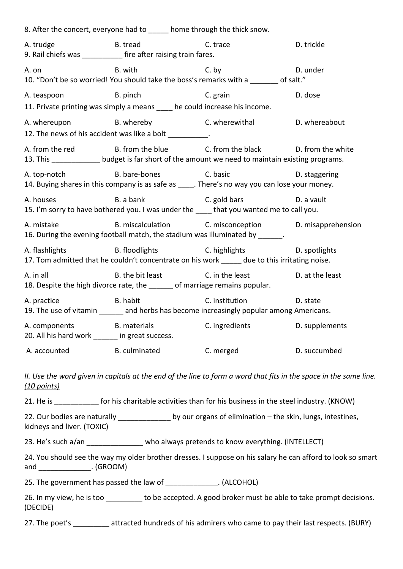|                                                                              |                                                                                                                                                                                                                                | 8. After the concert, everyone had to _____ home through the thick snow.                                                                                                |                                                                                                                   |
|------------------------------------------------------------------------------|--------------------------------------------------------------------------------------------------------------------------------------------------------------------------------------------------------------------------------|-------------------------------------------------------------------------------------------------------------------------------------------------------------------------|-------------------------------------------------------------------------------------------------------------------|
| A. trudge<br>9. Rail chiefs was ____________ fire after raising train fares. | <b>B.</b> tread                                                                                                                                                                                                                | C. trace                                                                                                                                                                | D. trickle                                                                                                        |
| A. on                                                                        | B. with the same of the same of the same of the same of the same of the same of the same of the same of the same of the same of the same of the same of the same of the same of the same of the same of the same of the same o | C. by<br>10. "Don't be so worried! You should take the boss's remarks with a ______ of salt."                                                                           | D. under                                                                                                          |
| A. teaspoon B. pinch                                                         |                                                                                                                                                                                                                                | C. grain<br>11. Private printing was simply a means ____ he could increase his income.                                                                                  | D. dose                                                                                                           |
| 12. The news of his accident was like a bolt __________.                     |                                                                                                                                                                                                                                | A. whereupon B. whereby C. wherewithal D. whereabout                                                                                                                    |                                                                                                                   |
|                                                                              |                                                                                                                                                                                                                                | A. from the red B. from the blue C. from the black D. from the white<br>13. This _____________ budget is far short of the amount we need to maintain existing programs. |                                                                                                                   |
|                                                                              |                                                                                                                                                                                                                                | A. top-notch B. bare-bones C. basic<br>14. Buying shares in this company is as safe as _____. There's no way you can lose your money.                                   | D. staggering                                                                                                     |
| A. houses                                                                    |                                                                                                                                                                                                                                | B. a bank C. gold bars<br>15. I'm sorry to have bothered you. I was under the _____ that you wanted me to call you.                                                     | D. a vault                                                                                                        |
| A. mistake                                                                   |                                                                                                                                                                                                                                | B. miscalculation C. misconception D. misapprehension<br>16. During the evening football match, the stadium was illuminated by ______.                                  |                                                                                                                   |
|                                                                              |                                                                                                                                                                                                                                | A. flashlights B. floodlights C. highlights D. spotlights<br>17. Tom admitted that he couldn't concentrate on his work _____ due to this irritating noise.              |                                                                                                                   |
| A. in all                                                                    |                                                                                                                                                                                                                                | B. the bit least C. in the least D. at the least<br>18. Despite the high divorce rate, the ______ of marriage remains popular.                                          |                                                                                                                   |
| A. practice B. habit                                                         |                                                                                                                                                                                                                                | C. institution<br>19. The use of vitamin _______ and herbs has become increasingly popular among Americans.                                                             | D. state                                                                                                          |
| A. components B. materials<br>20. All his hard work ______ in great success. |                                                                                                                                                                                                                                | C. ingredients                                                                                                                                                          | D. supplements                                                                                                    |
| A. accounted                                                                 | <b>Example 13 B. culminated</b>                                                                                                                                                                                                | C. merged                                                                                                                                                               | D. succumbed                                                                                                      |
| (10 points)                                                                  |                                                                                                                                                                                                                                |                                                                                                                                                                         | II. Use the word given in capitals at the end of the line to form a word that fits in the space in the same line. |
|                                                                              |                                                                                                                                                                                                                                | 21. He is ____________ for his charitable activities than for his business in the steel industry. (KNOW)                                                                |                                                                                                                   |
| kidneys and liver. (TOXIC)                                                   |                                                                                                                                                                                                                                | 22. Our bodies are naturally ______________ by our organs of elimination - the skin, lungs, intestines,                                                                 |                                                                                                                   |
|                                                                              |                                                                                                                                                                                                                                | 23. He's such a/an ______________ who always pretends to know everything. (INTELLECT)                                                                                   |                                                                                                                   |
| and _________________. (GROOM)                                               |                                                                                                                                                                                                                                |                                                                                                                                                                         | 24. You should see the way my older brother dresses. I suppose on his salary he can afford to look so smart       |
|                                                                              |                                                                                                                                                                                                                                | 25. The government has passed the law of ______________. (ALCOHOL)                                                                                                      |                                                                                                                   |
| (DECIDE)                                                                     |                                                                                                                                                                                                                                |                                                                                                                                                                         | 26. In my view, he is too _________ to be accepted. A good broker must be able to take prompt decisions.          |
|                                                                              |                                                                                                                                                                                                                                | 27. The poet's ________ attracted hundreds of his admirers who came to pay their last respects. (BURY)                                                                  |                                                                                                                   |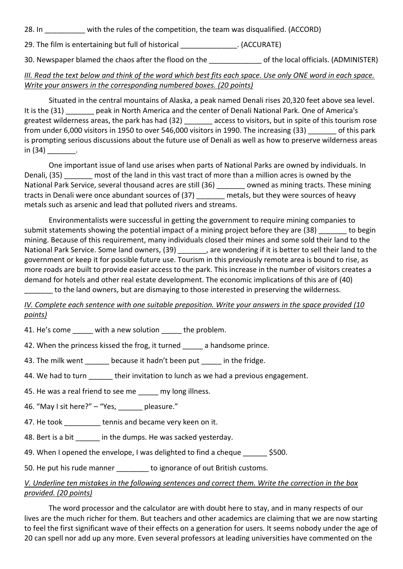| 28. In |  | with the rules of the competition, the team was disqualified. (ACCORD) |  |  |  |
|--------|--|------------------------------------------------------------------------|--|--|--|
|--------|--|------------------------------------------------------------------------|--|--|--|

29. The film is entertaining but full of historical (ACCURATE)

30. Newspaper blamed the chaos after the flood on the degree of the local officials. (ADMINISTER)

## *III. Read the text below and think of the word which best fits each space. Use only ONE word in each space. Write your answers in the corresponding numbered boxes. (20 points)*

Situated in the central mountains of Alaska, a peak named Denali rises 20,320 feet above sea level. It is the (31) peak in North America and the center of Denali National Park. One of America's greatest wilderness areas, the park has had (32) \_\_\_\_\_\_\_ access to visitors, but in spite of this tourism rose from under 6,000 visitors in 1950 to over 546,000 visitors in 1990. The increasing (33) \_\_\_\_\_\_\_ of this park is prompting serious discussions about the future use of Denali as well as how to preserve wilderness areas  $in (34)$  .

One important issue of land use arises when parts of National Parks are owned by individuals. In Denali, (35) most of the land in this vast tract of more than a million acres is owned by the National Park Service, several thousand acres are still (36) \_\_\_\_\_\_\_ owned as mining tracts. These mining tracts in Denali were once abundant sources of (37) metals, but they were sources of heavy metals such as arsenic and lead that polluted rivers and streams.

Environmentalists were successful in getting the government to require mining companies to submit statements showing the potential impact of a mining project before they are (38) to begin mining. Because of this requirement, many individuals closed their mines and some sold their land to the National Park Service. Some land owners, (39) \_\_\_\_\_\_\_, are wondering if it is better to sell their land to the government or keep it for possible future use. Tourism in this previously remote area is bound to rise, as more roads are built to provide easier access to the park. This increase in the number of visitors creates a demand for hotels and other real estate development. The economic implications of this are of (40) \_\_\_\_\_\_\_ to the land owners, but are dismaying to those interested in preserving the wilderness.

*IV. Complete each sentence with one suitable preposition. Write your answers in the space provided (10 points)*

41. He's come with a new solution the problem.

42. When the princess kissed the frog, it turned \_\_\_\_\_ a handsome prince.

43. The milk went because it hadn't been put in the fridge.

44. We had to turn their invitation to lunch as we had a previous engagement.

45. He was a real friend to see me my long illness.

46. "May I sit here?" - "Yes, pleasure."

47. He took tennis and became very keen on it.

48. Bert is a bit in the dumps. He was sacked yesterday.

49. When I opened the envelope, I was delighted to find a cheque  $\lesssim$  \$500.

50. He put his rude manner to ignorance of out British customs.

#### *V. Underline ten mistakes in the following sentences and correct them. Write the correction in the box provided. (20 points)*

The word processor and the calculator are with doubt here to stay, and in many respects of our lives are the much richer for them. But teachers and other academics are claiming that we are now starting to feel the first significant wave of their effects on a generation for users. It seems nobody under the age of 20 can spell nor add up any more. Even several professors at leading universities have commented on the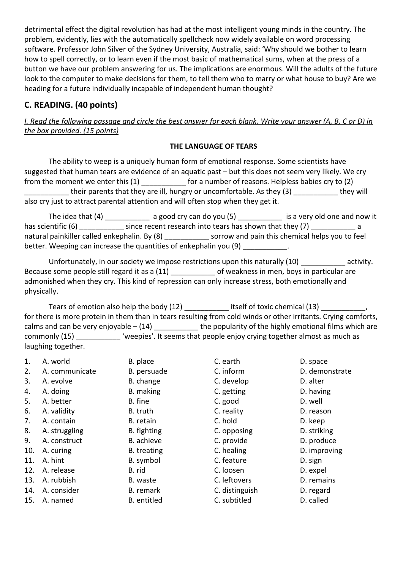detrimental effect the digital revolution has had at the most intelligent young minds in the country. The problem, evidently, lies with the automatically spellcheck now widely available on word processing software. Professor John Silver of the Sydney University, Australia, said: 'Why should we bother to learn how to spell correctly, or to learn even if the most basic of mathematical sums, when at the press of a button we have our problem answering for us. The implications are enormous. Will the adults of the future look to the computer to make decisions for them, to tell them who to marry or what house to buy? Are we heading for a future individually incapable of independent human thought?

## **C. READING. (40 points)**

*I. Read the following passage and circle the best answer for each blank. Write your answer (A, B, C or D) in the box provided. (15 points)*

#### **THE LANGUAGE OF TEARS**

The ability to weep is a uniquely human form of emotional response. Some scientists have suggested that human tears are evidence of an aquatic past – but this does not seem very likely. We cry from the moment we enter this (1) for a number of reasons. Helpless babies cry to (2) \_\_\_\_\_\_\_\_\_\_\_ their parents that they are ill, hungry or uncomfortable. As they (3) \_\_\_\_\_\_\_\_\_\_\_ they will also cry just to attract parental attention and will often stop when they get it.

The idea that (4) \_\_\_\_\_\_\_\_\_\_\_\_\_ a good cry can do you (5) \_\_\_\_\_\_\_\_\_\_\_\_\_ is a very old one and now it has scientific (6) has scientific (6) has scientific (6) and since recent research into tears has shown that they (7) natural painkiller called enkephalin. By (8) \_\_\_\_\_\_\_\_\_\_\_\_\_\_ sorrow and pain this chemical helps you to feel better. Weeping can increase the quantities of enkephalin you (9) \_\_\_\_\_\_\_\_\_\_\_\_.

Unfortunately, in our society we impose restrictions upon this naturally (10) \_\_\_\_\_\_\_\_\_\_\_ activity. Because some people still regard it as a (11) because in men, boys in particular are admonished when they cry. This kind of repression can only increase stress, both emotionally and physically.

Tears of emotion also help the body (12) \_\_\_\_\_\_\_\_\_\_\_\_ itself of toxic chemical (13) \_\_\_\_\_\_\_\_\_\_\_\_, for there is more protein in them than in tears resulting from cold winds or other irritants. Crying comforts, calms and can be very enjoyable  $- (14)$  \_\_\_\_\_\_\_\_\_\_\_\_\_\_ the popularity of the highly emotional films which are commonly (15) \_\_\_\_\_\_\_\_\_\_\_ 'weepies'. It seems that people enjoy crying together almost as much as laughing together.

| A. world       | B. place           | C. earth       | D. space       |
|----------------|--------------------|----------------|----------------|
| A. communicate | B. persuade        | C. inform      | D. demonstrate |
| A. evolve      | B. change          | C. develop     | D. alter       |
| A. doing       | B. making          | C. getting     | D. having      |
| A. better      | B. fine            | C. good        | D. well        |
| A. validity    | B. truth           | C. reality     | D. reason      |
| A. contain     | B. retain          | C. hold        | D. keep        |
| A. struggling  | B. fighting        | C. opposing    | D. striking    |
| A. construct   | B. achieve         | C. provide     | D. produce     |
| A. curing      | B. treating        | C. healing     | D. improving   |
| A. hint        | B. symbol          | C. feature     | D. sign        |
| A. release     | B. rid             | C. loosen      | D. expel       |
| A. rubbish     | B. waste           | C. leftovers   | D. remains     |
| A. consider    | B. remark          | C. distinguish | D. regard      |
| A. named       | <b>B.</b> entitled | C. subtitled   | D. called      |
|                |                    |                |                |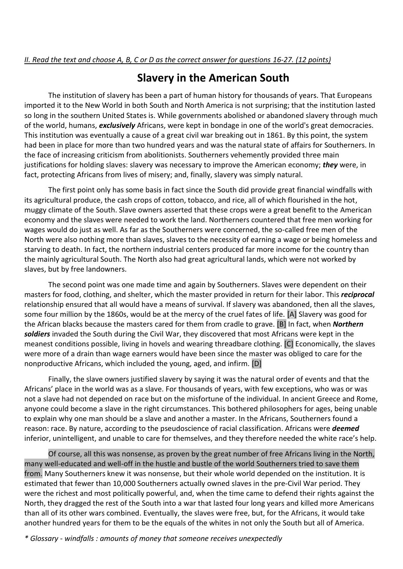# **Slavery in the American South**

The institution of slavery has been a part of human history for thousands of years. That Europeans imported it to the New World in both South and North America is not surprising; that the institution lasted so long in the southern United States is. While governments abolished or abandoned slavery through much of the world, humans, *exclusively* Africans, were kept in bondage in one of the world's great democracies. This institution was eventually a cause of a great civil war breaking out in 1861. By this point, the system had been in place for more than two hundred years and was the natural state of affairs for Southerners. In the face of increasing criticism from abolitionists. Southerners vehemently provided three main justifications for holding slaves: slavery was necessary to improve the American economy; *they* were, in fact, protecting Africans from lives of misery; and, finally, slavery was simply natural.

The first point only has some basis in fact since the South did provide great financial windfalls with its agricultural produce, the cash crops of cotton, tobacco, and rice, all of which flourished in the hot, muggy climate of the South. Slave owners asserted that these crops were a great benefit to the American economy and the slaves were needed to work the land. Northerners countered that free men working for wages would do just as well. As far as the Southerners were concerned, the so-called free men of the North were also nothing more than slaves, slaves to the necessity of earning a wage or being homeless and starving to death. In fact, the northern industrial centers produced far more income for the country than the mainly agricultural South. The North also had great agricultural lands, which were not worked by slaves, but by free landowners.

The second point was one made time and again by Southerners. Slaves were dependent on their masters for food, clothing, and shelter, which the master provided in return for their labor. This *reciprocal* relationship ensured that all would have a means of survival. If slavery was abandoned, then all the slaves, some four million by the 1860s, would be at the mercy of the cruel fates of life. [A] Slavery was good for the African blacks because the masters cared for them from cradle to grave. [B] In fact, when *Northern soldiers* invaded the South during the Civil War, they discovered that most Africans were kept in the meanest conditions possible, living in hovels and wearing threadbare clothing. [C] Economically, the slaves were more of a drain than wage earners would have been since the master was obliged to care for the nonproductive Africans, which included the young, aged, and infirm. [D]

Finally, the slave owners justified slavery by saying it was the natural order of events and that the Africans' place in the world was as a slave. For thousands of years, with few exceptions, who was or was not a slave had not depended on race but on the misfortune of the individual. In ancient Greece and Rome, anyone could become a slave in the right circumstances. This bothered philosophers for ages, being unable to explain why one man should be a slave and another a master. In the Africans, Southerners found a reason: race. By nature, according to the pseudoscience of racial classification. Africans were *deemed* inferior, unintelligent, and unable to care for themselves, and they therefore needed the white race's help.

Of course, all this was nonsense, as proven by the great number of free Africans living in the North, many well-educated and well-off in the hustle and bustle of the world Southerners tried to save them from. Many Southerners knew it was nonsense, but their whole world depended on the institution. It is estimated that fewer than 10,000 Southerners actually owned slaves in the pre-Civil War period. They were the richest and most politically powerful, and, when the time came to defend their rights against the North, they dragged the rest of the South into a war that lasted four long years and killed more Americans than all of its other wars combined. Eventually, the slaves were free, but, for the Africans, it would take another hundred years for them to be the equals of the whites in not only the South but all of America.

*\* Glossary - windfalls : amounts of money that someone receives unexpectedly*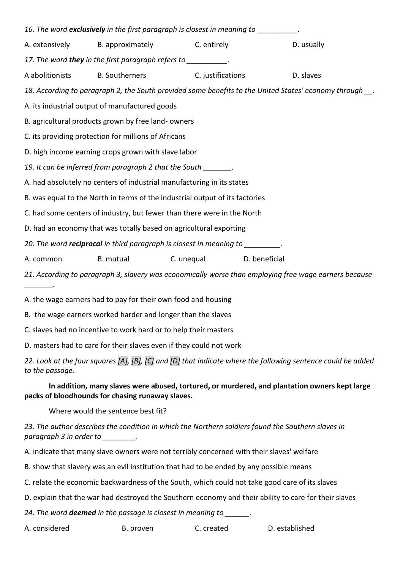|                                                                              |                                                                | 16. The word exclusively in the first paragraph is closest in meaning to _________.   |                                                                                                       |
|------------------------------------------------------------------------------|----------------------------------------------------------------|---------------------------------------------------------------------------------------|-------------------------------------------------------------------------------------------------------|
|                                                                              | A. extensively B. approximately C. entirely                    |                                                                                       | D. usually                                                                                            |
|                                                                              | 17. The word they in the first paragraph refers to __________. |                                                                                       |                                                                                                       |
|                                                                              |                                                                | A abolitionists B. Southerners C. justifications                                      | D. slaves                                                                                             |
|                                                                              |                                                                |                                                                                       | 18. According to paragraph 2, the South provided some benefits to the United States' economy through  |
| A. its industrial output of manufactured goods                               |                                                                |                                                                                       |                                                                                                       |
|                                                                              | B. agricultural products grown by free land-owners             |                                                                                       |                                                                                                       |
|                                                                              | C. its providing protection for millions of Africans           |                                                                                       |                                                                                                       |
|                                                                              | D. high income earning crops grown with slave labor            |                                                                                       |                                                                                                       |
| 19. It can be inferred from paragraph 2 that the South 19.                   |                                                                |                                                                                       |                                                                                                       |
| A. had absolutely no centers of industrial manufacturing in its states       |                                                                |                                                                                       |                                                                                                       |
| B. was equal to the North in terms of the industrial output of its factories |                                                                |                                                                                       |                                                                                                       |
| C. had some centers of industry, but fewer than there were in the North      |                                                                |                                                                                       |                                                                                                       |
|                                                                              |                                                                | D. had an economy that was totally based on agricultural exporting                    |                                                                                                       |
|                                                                              |                                                                | 20. The word <b>reciprocal</b> in third paragraph is closest in meaning to _________. |                                                                                                       |
| A. common                                                                    | B. mutual                                                      | C. unequal D. beneficial                                                              |                                                                                                       |
|                                                                              |                                                                |                                                                                       | 21. According to paragraph 3, slavery was economically worse than employing free wage earners because |
|                                                                              | A. the wage earners had to pay for their own food and housing  |                                                                                       |                                                                                                       |
|                                                                              | B. the wage earners worked harder and longer than the slaves   |                                                                                       |                                                                                                       |

C. slaves had no incentive to work hard or to help their masters

D. masters had to care for their slaves even if they could not work

*22. Look at the four squares [A], [B], [C] and [D] that indicate where the following sentence could be added to the passage.*

### **In addition, many slaves were abused, tortured, or murdered, and plantation owners kept large packs of bloodhounds for chasing runaway slaves.**

Where would the sentence best fit?

*23. The author describes the condition in which the Northern soldiers found the Southern slaves in paragraph 3 in order to \_\_\_\_\_\_\_\_.* 

A. indicate that many slave owners were not terribly concerned with their slaves' welfare

B. show that slavery was an evil institution that had to be ended by any possible means

C. relate the economic backwardness of the South, which could not take good care of its slaves

D. explain that the war had destroyed the Southern economy and their ability to care for their slaves

*24. The word deemed in the passage is closest in meaning to \_\_\_\_\_\_.*

A. considered B. proven C. created D. established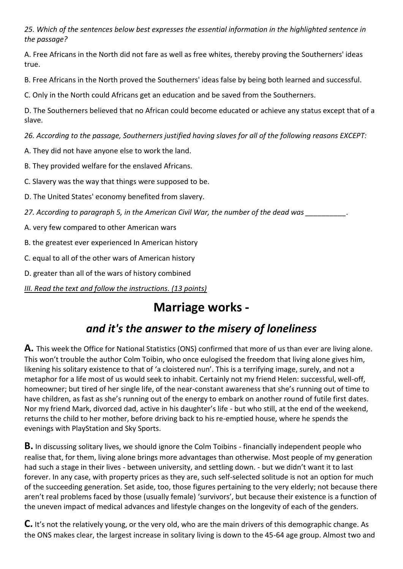*25. Which of the sentences below best expresses the essential information in the highlighted sentence in the passage?* 

A. Free Africans in the North did not fare as well as free whites, thereby proving the Southerners' ideas true.

B. Free Africans in the North proved the Southerners' ideas false by being both learned and successful.

C. Only in the North could Africans get an education and be saved from the Southerners.

D. The Southerners believed that no African could become educated or achieve any status except that of a slave.

*26. According to the passage, Southerners justified having slaves for all of the following reasons EXCEPT:*

A. They did not have anyone else to work the land.

B. They provided welfare for the enslaved Africans.

C. Slavery was the way that things were supposed to be.

D. The United States' economy benefited from slavery.

*27. According to paragraph 5, in the American Civil War, the number of the dead was \_\_\_\_\_\_\_\_\_\_.*

A. very few compared to other American wars

B. the greatest ever experienced In American history

C. equal to all of the other wars of American history

D. greater than all of the wars of history combined

*III. Read the text and follow the instructions. (13 points)*

# **Marriage works -**

# *and it's the answer to the misery of loneliness*

**A.** This week the Office for National Statistics (ONS) confirmed that more of us than ever are living alone. This won't trouble the author Colm Toibin, who once eulogised the freedom that living alone gives him, likening his solitary existence to that of 'a cloistered nun'. This is a terrifying image, surely, and not a metaphor for a life most of us would seek to inhabit. Certainly not my friend Helen: successful, well-off, homeowner; but tired of her single life, of the near-constant awareness that she's running out of time to have children, as fast as she's running out of the energy to embark on another round of futile first dates. Nor my friend Mark, divorced dad, active in his daughter's life - but who still, at the end of the weekend, returns the child to her mother, before driving back to his re-emptied house, where he spends the evenings with PlayStation and Sky Sports.

**B.** In discussing solitary lives, we should ignore the Colm Toibins - financially independent people who realise that, for them, living alone brings more advantages than otherwise. Most people of my generation had such a stage in their lives - between university, and settling down. - but we didn't want it to last forever. In any case, with property prices as they are, such self-selected solitude is not an option for much of the succeeding generation. Set aside, too, those figures pertaining to the very elderly; not because there aren't real problems faced by those (usually female) 'survivors', but because their existence is a function of the uneven impact of medical advances and lifestyle changes on the longevity of each of the genders.

**C.** It's not the relatively young, or the very old, who are the main drivers of this demographic change. As the ONS makes clear, the largest increase in solitary living is down to the 45-64 age group. Almost two and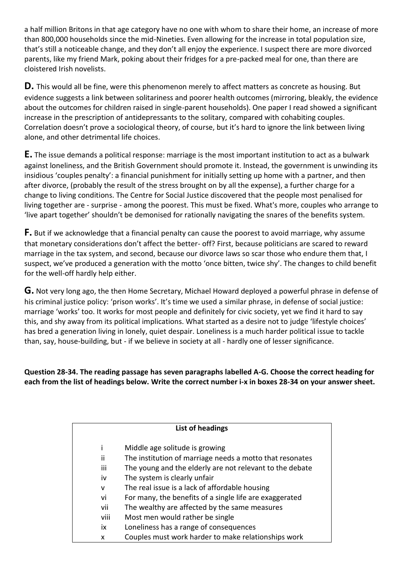a half million Britons in that age category have no one with whom to share their home, an increase of more than 800,000 households since the mid-Nineties. Even allowing for the increase in total population size, that's still a noticeable change, and they don't all enjoy the experience. I suspect there are more divorced parents, like my friend Mark, poking about their fridges for a pre-packed meal for one, than there are cloistered Irish novelists.

**D.** This would all be fine, were this phenomenon merely to affect matters as concrete as housing. But evidence suggests a link between solitariness and poorer health outcomes (mirroring, bleakly, the evidence about the outcomes for children raised in single-parent households). One paper I read showed a significant increase in the prescription of antidepressants to the solitary, compared with cohabiting couples. Correlation doesn't prove a sociological theory, of course, but it's hard to ignore the link between living alone, and other detrimental life choices.

**E.** The issue demands a political response: marriage is the most important institution to act as a bulwark against loneliness, and the British Government should promote it. Instead, the government is unwinding its insidious 'couples penalty': a financial punishment for initially setting up home with a partner, and then after divorce, (probably the result of the stress brought on by all the expense), a further charge for a change to living conditions. The Centre for Social Justice discovered that the people most penalised for living together are - surprise - among the poorest. This must be fixed. What's more, couples who arrange to 'live apart together' shouldn't be demonised for rationally navigating the snares of the benefits system.

**F.** But if we acknowledge that a financial penalty can cause the poorest to avoid marriage, why assume that monetary considerations don't affect the better- off? First, because politicians are scared to reward marriage in the tax system, and second, because our divorce laws so scar those who endure them that, I suspect, we've produced a generation with the motto 'once bitten, twice shy'. The changes to child benefit for the well-off hardly help either.

**G.** Not very long ago, the then Home Secretary, Michael Howard deployed a powerful phrase in defense of his criminal justice policy: 'prison works'. It's time we used a similar phrase, in defense of social justice: marriage 'works' too. It works for most people and definitely for civic society, yet we find it hard to say this, and shy away from its political implications. What started as a desire not to judge 'lifestyle choices' has bred a generation living in lonely, quiet despair. Loneliness is a much harder political issue to tackle than, say, house-building, but - if we believe in society at all - hardly one of lesser significance.

**Question 28-34. The reading passage has seven paragraphs labelled A-G. Choose the correct heading for each from the list of headings below. Write the correct number i-x in boxes 28-34 on your answer sheet.**

|      | List of headings                                         |
|------|----------------------------------------------------------|
|      | Middle age solitude is growing                           |
| ii   |                                                          |
|      | The institution of marriage needs a motto that resonates |
| iii  | The young and the elderly are not relevant to the debate |
| iv   | The system is clearly unfair                             |
| v    | The real issue is a lack of affordable housing           |
| vi   | For many, the benefits of a single life are exaggerated  |
| vii  | The wealthy are affected by the same measures            |
| viii | Most men would rather be single                          |
| ix   | Loneliness has a range of consequences                   |
| x    | Couples must work harder to make relationships work      |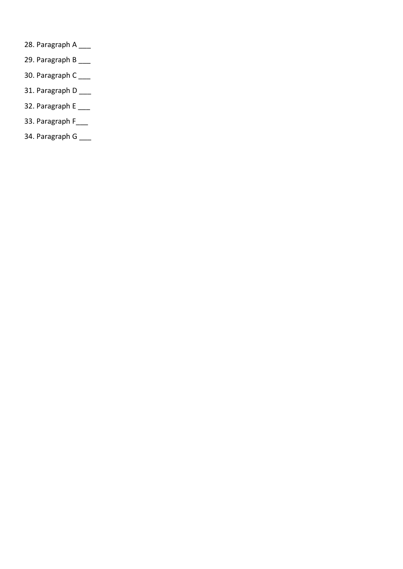- 28. Paragraph A \_\_\_
- 29. Paragraph B \_\_\_
- 30. Paragraph C<sub>\_\_\_\_</sub>
- 31. Paragraph D \_\_\_
- 32. Paragraph E \_\_\_
- 33. Paragraph F\_\_\_
- 34. Paragraph G \_\_\_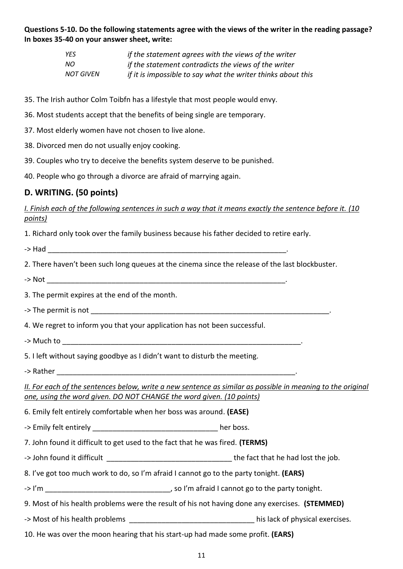### **Questions 5-10. Do the following statements agree with the views of the writer in the reading passage? In boxes 35-40 on your answer sheet, write:**

| YES.             | if the statement agrees with the views of the writer         |
|------------------|--------------------------------------------------------------|
| NO.              | if the statement contradicts the views of the writer         |
| <b>NOT GIVEN</b> | if it is impossible to say what the writer thinks about this |

- 35. The Irish author Colm Toibfn has a lifestyle that most people would envy.
- 36. Most students accept that the benefits of being single are temporary.
- 37. Most elderly women have not chosen to live alone.
- 38. Divorced men do not usually enjoy cooking.
- 39. Couples who try to deceive the benefits system deserve to be punished.
- 40. People who go through a divorce are afraid of marrying again.

### **D. WRITING. (50 points)**

*I. Finish each of the following sentences in such a way that it means exactly the sentence before it. (10 points)*

1. Richard only took over the family business because his father decided to retire early.

 $\rightarrow$  Had

2. There haven't been such long queues at the cinema since the release of the last blockbuster.

- ->  $Not$
- 3. The permit expires at the end of the month.

-> The permit is not

4. We regret to inform you that your application has not been successful.

-> Much to

5. I left without saying goodbye as I didn't want to disturb the meeting.

-> Rather

*II. For each of the sentences below, write a new sentence as similar as possible in meaning to the original one, using the word given. DO NOT CHANGE the word given. (10 points)*

6. Emily felt entirely comfortable when her boss was around. **(EASE)**

-> Emily felt entirely \_\_\_\_\_\_\_\_\_\_\_\_\_\_\_\_\_\_\_\_\_\_\_\_\_\_\_\_\_\_\_\_\_\_\_her boss.

7. John found it difficult to get used to the fact that he was fired. **(TERMS)**

-> John found it difficult \_\_\_\_\_\_\_\_\_\_\_\_\_\_\_\_\_\_\_\_\_\_\_\_\_\_\_\_\_\_\_ the fact that he had lost the job.

8. I've got too much work to do, so I'm afraid I cannot go to the party tonight. **(EARS)**

-> I'm \_\_\_\_\_\_\_\_\_\_\_\_\_\_\_\_\_\_\_\_\_\_\_\_\_\_\_\_\_\_\_, so I'm afraid I cannot go to the party tonight.

9. Most of his health problems were the result of his not having done any exercises. **(STEMMED)**

- -> Most of his health problems \_\_\_\_\_\_\_\_\_\_\_\_\_\_\_\_\_\_\_\_\_\_\_\_\_\_\_\_\_\_\_ his lack of physical exercises.
- 10. He was over the moon hearing that his start-up had made some profit. **(EARS)**